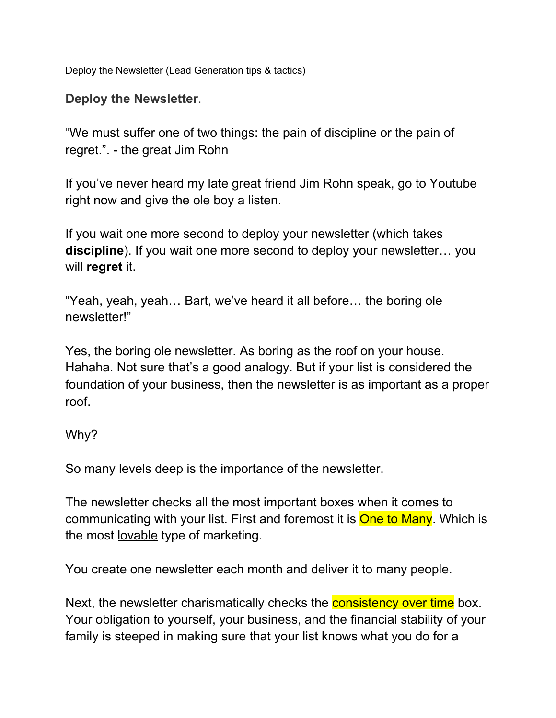Deploy the Newsletter (Lead Generation tips & tactics)

### **Deploy the Newsletter**.

"We must suffer one of two things: the pain of discipline or the pain of regret.". - the great Jim Rohn

If you've never heard my late great friend Jim Rohn speak, go to Youtube right now and give the ole boy a listen.

If you wait one more second to deploy your newsletter (which takes **discipline**). If you wait one more second to deploy your newsletter… you will **regret** it.

"Yeah, yeah, yeah… Bart, we've heard it all before… the boring ole newsletter!"

Yes, the boring ole newsletter. As boring as the roof on your house. Hahaha. Not sure that's a good analogy. But if your list is considered the foundation of your business, then the newsletter is as important as a proper roof.

#### Why?

So many levels deep is the importance of the newsletter.

The newsletter checks all the most important boxes when it comes to communicating with your list. First and foremost it is **One to Many**. Which is the most lovable type of marketing.

You create one newsletter each month and deliver it to many people.

Next, the newsletter charismatically checks the **consistency over time** box. Your obligation to yourself, your business, and the financial stability of your family is steeped in making sure that your list knows what you do for a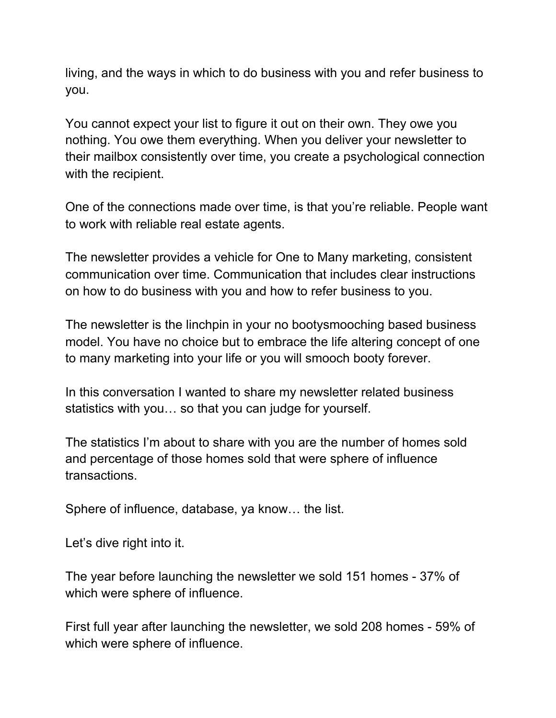living, and the ways in which to do business with you and refer business to you.

You cannot expect your list to figure it out on their own. They owe you nothing. You owe them everything. When you deliver your newsletter to their mailbox consistently over time, you create a psychological connection with the recipient.

One of the connections made over time, is that you're reliable. People want to work with reliable real estate agents.

The newsletter provides a vehicle for One to Many marketing, consistent communication over time. Communication that includes clear instructions on how to do business with you and how to refer business to you.

The newsletter is the linchpin in your no bootysmooching based business model. You have no choice but to embrace the life altering concept of one to many marketing into your life or you will smooch booty forever.

In this conversation I wanted to share my newsletter related business statistics with you… so that you can judge for yourself.

The statistics I'm about to share with you are the number of homes sold and percentage of those homes sold that were sphere of influence transactions.

Sphere of influence, database, ya know… the list.

Let's dive right into it.

The year before launching the newsletter we sold 151 homes - 37% of which were sphere of influence.

First full year after launching the newsletter, we sold 208 homes - 59% of which were sphere of influence.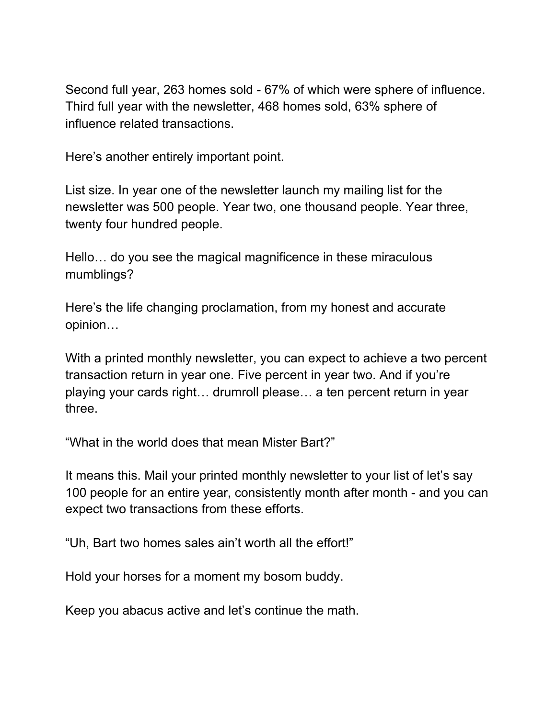Second full year, 263 homes sold - 67% of which were sphere of influence. Third full year with the newsletter, 468 homes sold, 63% sphere of influence related transactions.

Here's another entirely important point.

List size. In year one of the newsletter launch my mailing list for the newsletter was 500 people. Year two, one thousand people. Year three, twenty four hundred people.

Hello… do you see the magical magnificence in these miraculous mumblings?

Here's the life changing proclamation, from my honest and accurate opinion…

With a printed monthly newsletter, you can expect to achieve a two percent transaction return in year one. Five percent in year two. And if you're playing your cards right… drumroll please… a ten percent return in year three.

"What in the world does that mean Mister Bart?"

It means this. Mail your printed monthly newsletter to your list of let's say 100 people for an entire year, consistently month after month - and you can expect two transactions from these efforts.

"Uh, Bart two homes sales ain't worth all the effort!"

Hold your horses for a moment my bosom buddy.

Keep you abacus active and let's continue the math.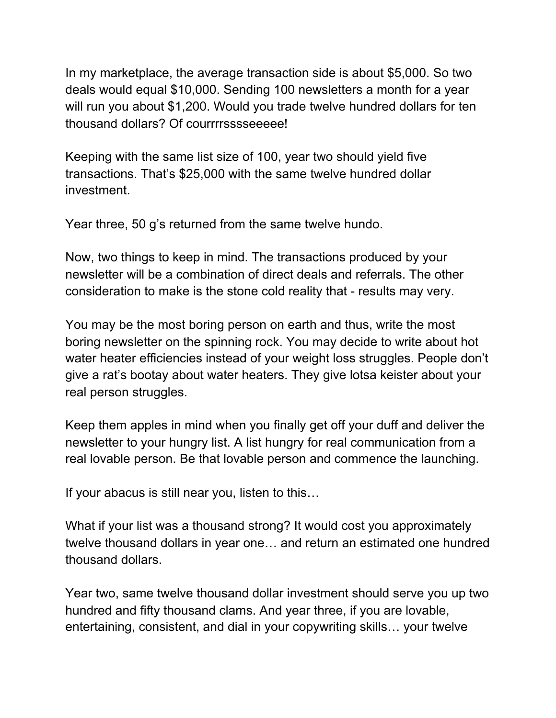In my marketplace, the average transaction side is about \$5,000. So two deals would equal \$10,000. Sending 100 newsletters a month for a year will run you about \$1,200. Would you trade twelve hundred dollars for ten thousand dollars? Of courrrrsssseeeee!

Keeping with the same list size of 100, year two should yield five transactions. That's \$25,000 with the same twelve hundred dollar investment.

Year three, 50 g's returned from the same twelve hundo.

Now, two things to keep in mind. The transactions produced by your newsletter will be a combination of direct deals and referrals. The other consideration to make is the stone cold reality that - results may very.

You may be the most boring person on earth and thus, write the most boring newsletter on the spinning rock. You may decide to write about hot water heater efficiencies instead of your weight loss struggles. People don't give a rat's bootay about water heaters. They give lotsa keister about your real person struggles.

Keep them apples in mind when you finally get off your duff and deliver the newsletter to your hungry list. A list hungry for real communication from a real lovable person. Be that lovable person and commence the launching.

If your abacus is still near you, listen to this…

What if your list was a thousand strong? It would cost you approximately twelve thousand dollars in year one… and return an estimated one hundred thousand dollars.

Year two, same twelve thousand dollar investment should serve you up two hundred and fifty thousand clams. And year three, if you are lovable, entertaining, consistent, and dial in your copywriting skills… your twelve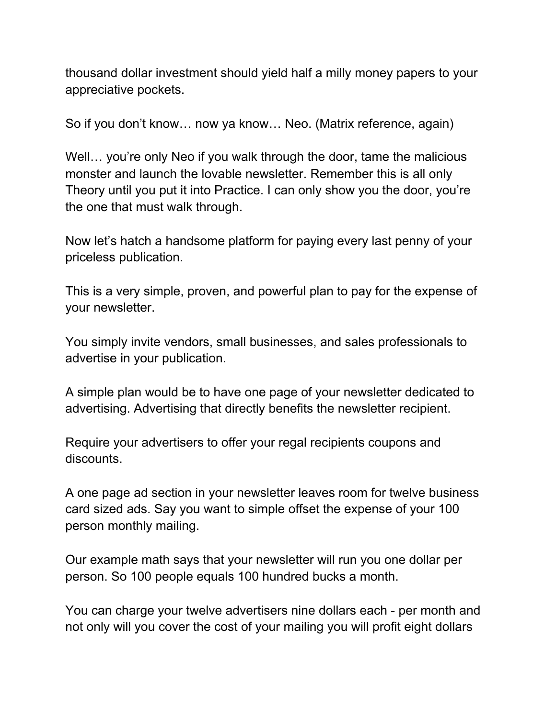thousand dollar investment should yield half a milly money papers to your appreciative pockets.

So if you don't know… now ya know… Neo. (Matrix reference, again)

Well... you're only Neo if you walk through the door, tame the malicious monster and launch the lovable newsletter. Remember this is all only Theory until you put it into Practice. I can only show you the door, you're the one that must walk through.

Now let's hatch a handsome platform for paying every last penny of your priceless publication.

This is a very simple, proven, and powerful plan to pay for the expense of your newsletter.

You simply invite vendors, small businesses, and sales professionals to advertise in your publication.

A simple plan would be to have one page of your newsletter dedicated to advertising. Advertising that directly benefits the newsletter recipient.

Require your advertisers to offer your regal recipients coupons and discounts.

A one page ad section in your newsletter leaves room for twelve business card sized ads. Say you want to simple offset the expense of your 100 person monthly mailing.

Our example math says that your newsletter will run you one dollar per person. So 100 people equals 100 hundred bucks a month.

You can charge your twelve advertisers nine dollars each - per month and not only will you cover the cost of your mailing you will profit eight dollars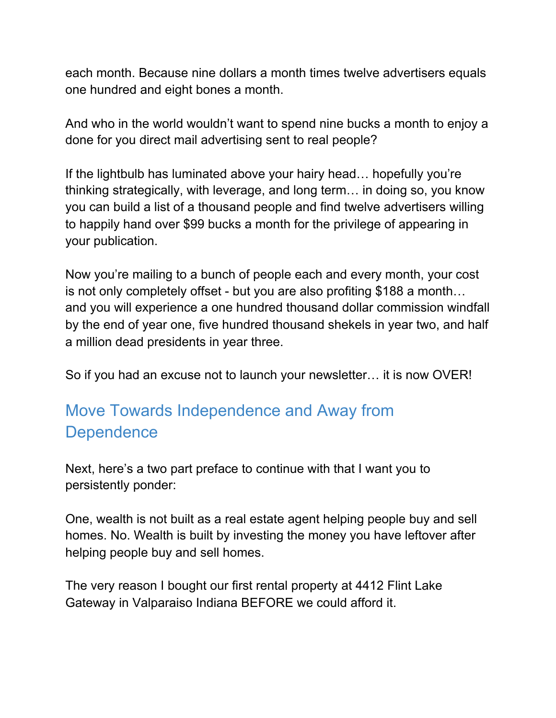each month. Because nine dollars a month times twelve advertisers equals one hundred and eight bones a month.

And who in the world wouldn't want to spend nine bucks a month to enjoy a done for you direct mail advertising sent to real people?

If the lightbulb has luminated above your hairy head… hopefully you're thinking strategically, with leverage, and long term… in doing so, you know you can build a list of a thousand people and find twelve advertisers willing to happily hand over \$99 bucks a month for the privilege of appearing in your publication.

Now you're mailing to a bunch of people each and every month, your cost is not only completely offset - but you are also profiting \$188 a month… and you will experience a one hundred thousand dollar commission windfall by the end of year one, five hundred thousand shekels in year two, and half a million dead presidents in year three.

So if you had an excuse not to launch your newsletter… it is now OVER!

# Move Towards Independence and Away from **Dependence**

Next, here's a two part preface to continue with that I want you to persistently ponder:

One, wealth is not built as a real estate agent helping people buy and sell homes. No. Wealth is built by investing the money you have leftover after helping people buy and sell homes.

The very reason I bought our first rental property at 4412 Flint Lake Gateway in Valparaiso Indiana BEFORE we could afford it.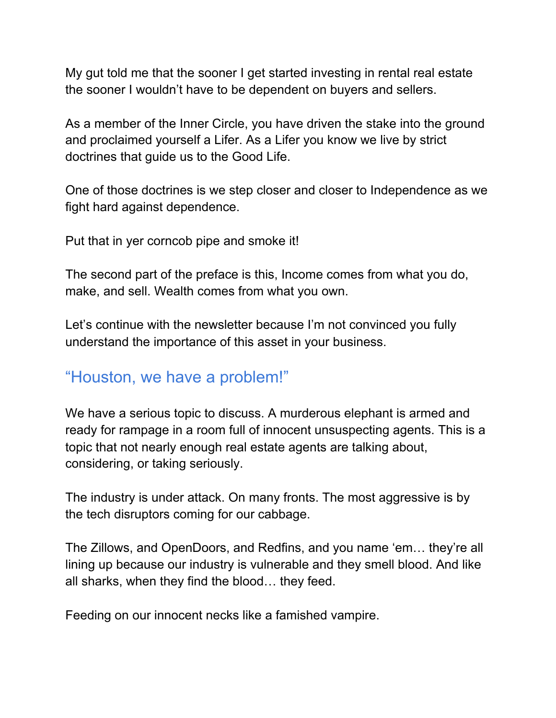My gut told me that the sooner I get started investing in rental real estate the sooner I wouldn't have to be dependent on buyers and sellers.

As a member of the Inner Circle, you have driven the stake into the ground and proclaimed yourself a Lifer. As a Lifer you know we live by strict doctrines that guide us to the Good Life.

One of those doctrines is we step closer and closer to Independence as we fight hard against dependence.

Put that in yer corncob pipe and smoke it!

The second part of the preface is this, Income comes from what you do, make, and sell. Wealth comes from what you own.

Let's continue with the newsletter because I'm not convinced you fully understand the importance of this asset in your business.

## "Houston, we have a problem!"

We have a serious topic to discuss. A murderous elephant is armed and ready for rampage in a room full of innocent unsuspecting agents. This is a topic that not nearly enough real estate agents are talking about, considering, or taking seriously.

The industry is under attack. On many fronts. The most aggressive is by the tech disruptors coming for our cabbage.

The Zillows, and OpenDoors, and Redfins, and you name 'em… they're all lining up because our industry is vulnerable and they smell blood. And like all sharks, when they find the blood… they feed.

Feeding on our innocent necks like a famished vampire.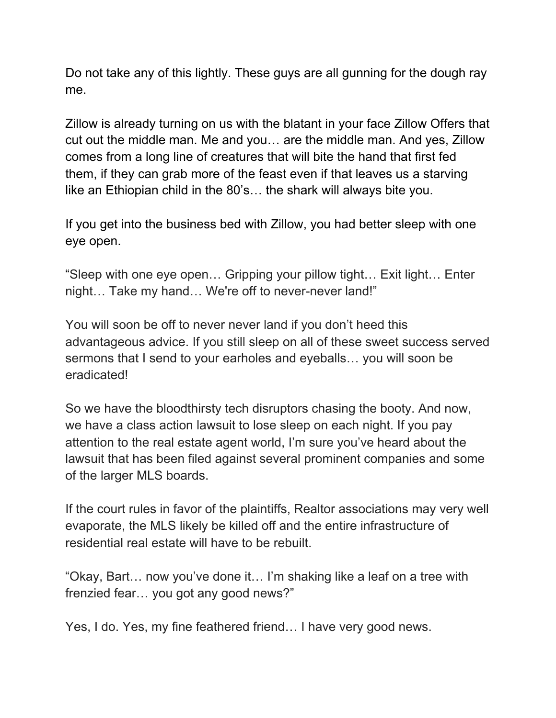Do not take any of this lightly. These guys are all gunning for the dough ray me.

Zillow is already turning on us with the blatant in your face Zillow Offers that cut out the middle man. Me and you… are the middle man. And yes, Zillow comes from a long line of creatures that will bite the hand that first fed them, if they can grab more of the feast even if that leaves us a starving like an Ethiopian child in the 80's… the shark will always bite you.

If you get into the business bed with Zillow, you had better sleep with one eye open.

"Sleep with one eye open… Gripping your pillow tight… Exit light… Enter night… Take my hand… We're off to never-never land!"

You will soon be off to never never land if you don't heed this advantageous advice. If you still sleep on all of these sweet success served sermons that I send to your earholes and eyeballs… you will soon be eradicated!

So we have the bloodthirsty tech disruptors chasing the booty. And now, we have a class action lawsuit to lose sleep on each night. If you pay attention to the real estate agent world, I'm sure you've heard about the lawsuit that has been filed against several prominent companies and some of the larger MLS boards.

If the court rules in favor of the plaintiffs, Realtor associations may very well evaporate, the MLS likely be killed off and the entire infrastructure of residential real estate will have to be rebuilt.

"Okay, Bart… now you've done it… I'm shaking like a leaf on a tree with frenzied fear… you got any good news?"

Yes, I do. Yes, my fine feathered friend… I have very good news.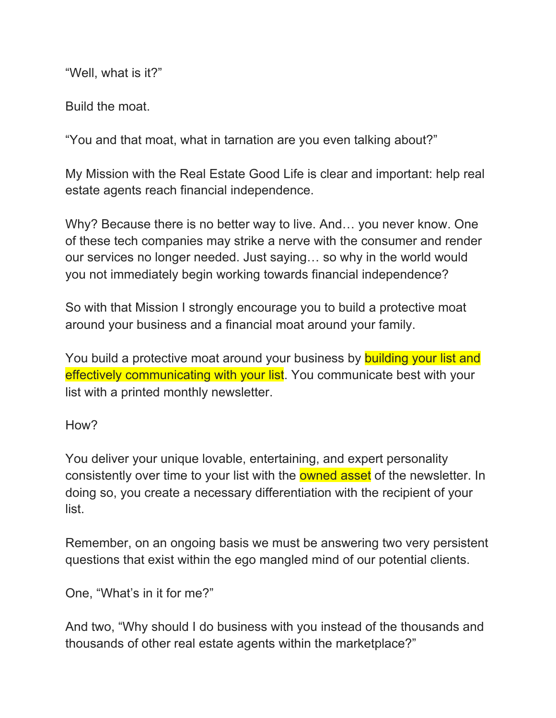"Well, what is it?"

Build the moat.

"You and that moat, what in tarnation are you even talking about?"

My Mission with the Real Estate Good Life is clear and important: help real estate agents reach financial independence.

Why? Because there is no better way to live. And… you never know. One of these tech companies may strike a nerve with the consumer and render our services no longer needed. Just saying… so why in the world would you not immediately begin working towards financial independence?

So with that Mission I strongly encourage you to build a protective moat around your business and a financial moat around your family.

You build a protective moat around your business by building your list and effectively communicating with your list. You communicate best with your list with a printed monthly newsletter.

How?

You deliver your unique lovable, entertaining, and expert personality consistently over time to your list with the **owned asset** of the newsletter. In doing so, you create a necessary differentiation with the recipient of your list.

Remember, on an ongoing basis we must be answering two very persistent questions that exist within the ego mangled mind of our potential clients.

One, "What's in it for me?"

And two, "Why should I do business with you instead of the thousands and thousands of other real estate agents within the marketplace?"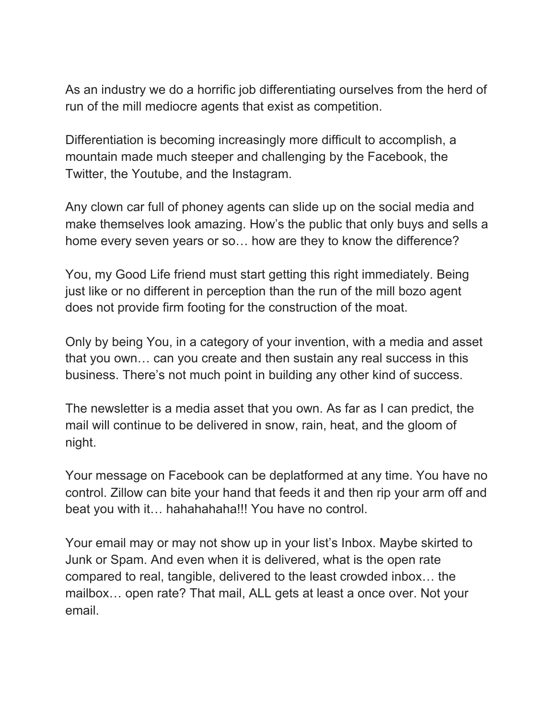As an industry we do a horrific job differentiating ourselves from the herd of run of the mill mediocre agents that exist as competition.

Differentiation is becoming increasingly more difficult to accomplish, a mountain made much steeper and challenging by the Facebook, the Twitter, the Youtube, and the Instagram.

Any clown car full of phoney agents can slide up on the social media and make themselves look amazing. How's the public that only buys and sells a home every seven years or so… how are they to know the difference?

You, my Good Life friend must start getting this right immediately. Being just like or no different in perception than the run of the mill bozo agent does not provide firm footing for the construction of the moat.

Only by being You, in a category of your invention, with a media and asset that you own… can you create and then sustain any real success in this business. There's not much point in building any other kind of success.

The newsletter is a media asset that you own. As far as I can predict, the mail will continue to be delivered in snow, rain, heat, and the gloom of night.

Your message on Facebook can be deplatformed at any time. You have no control. Zillow can bite your hand that feeds it and then rip your arm off and beat you with it… hahahahaha!!! You have no control.

Your email may or may not show up in your list's Inbox. Maybe skirted to Junk or Spam. And even when it is delivered, what is the open rate compared to real, tangible, delivered to the least crowded inbox… the mailbox… open rate? That mail, ALL gets at least a once over. Not your email.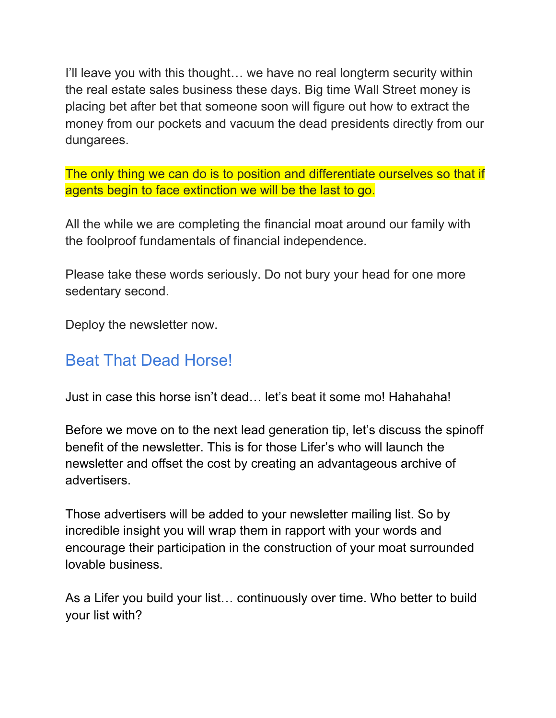I'll leave you with this thought… we have no real longterm security within the real estate sales business these days. Big time Wall Street money is placing bet after bet that someone soon will figure out how to extract the money from our pockets and vacuum the dead presidents directly from our dungarees.

The only thing we can do is to position and differentiate ourselves so that if agents begin to face extinction we will be the last to go.

All the while we are completing the financial moat around our family with the foolproof fundamentals of financial independence.

Please take these words seriously. Do not bury your head for one more sedentary second.

Deploy the newsletter now.

## Beat That Dead Horse!

Just in case this horse isn't dead… let's beat it some mo! Hahahaha!

Before we move on to the next lead generation tip, let's discuss the spinoff benefit of the newsletter. This is for those Lifer's who will launch the newsletter and offset the cost by creating an advantageous archive of advertisers.

Those advertisers will be added to your newsletter mailing list. So by incredible insight you will wrap them in rapport with your words and encourage their participation in the construction of your moat surrounded lovable business.

As a Lifer you build your list… continuously over time. Who better to build your list with?